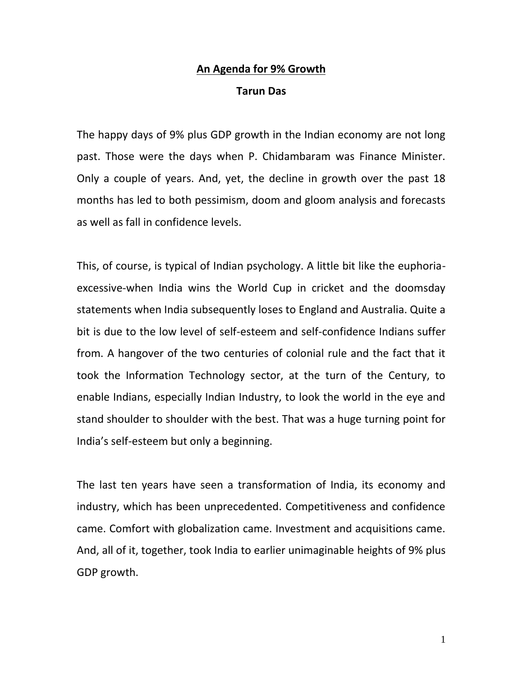## **An Agenda for 9% Growth Tarun Das**

The happy days of 9% plus GDP growth in the Indian economy are not long past. Those were the days when P. Chidambaram was Finance Minister. Only a couple of years. And, yet, the decline in growth over the past 18 months has led to both pessimism, doom and gloom analysis and forecasts as well as fall in confidence levels.

This, of course, is typical of Indian psychology. A little bit like the euphoria excessive-when India wins the World Cup in cricket and the doomsday statements when India subsequently loses to England and Australia. Quite a bit is due to the low level of self-esteem and self-confidence Indians suffer from. A hangover of the two centuries of colonial rule and the fact that it took the Information Technology sector, at the turn of the Century, to enable Indians, especially Indian Industry, to look the world in the eye and stand shoulder to shoulder with the best. That was a huge turning point for India's self-esteem but only a beginning.

The last ten years have seen a transformation of India, its economy and industry, which has been unprecedented. Competitiveness and confidence came. Comfort with globalization came. Investment and acquisitions came. And, all of it, together, took India to earlier unimaginable heights of 9% plus GDP growth.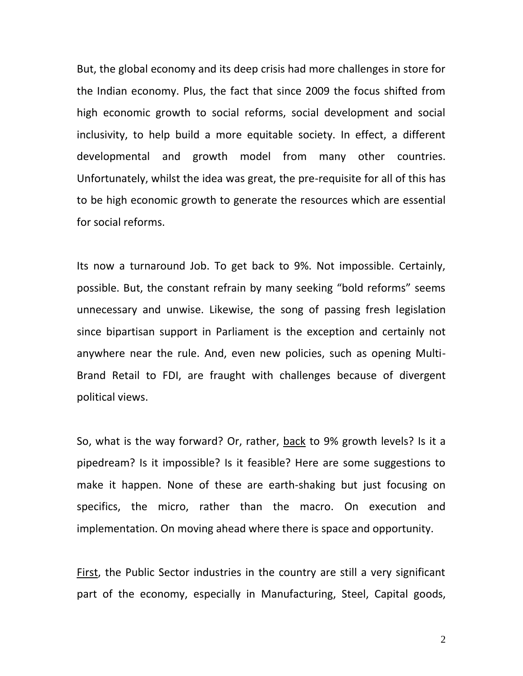But, the global economy and its deep crisis had more challenges in store for the Indian economy. Plus, the fact that since 2009 the focus shifted from high economic growth to social reforms, social development and social inclusivity, to help build a more equitable society. In effect, a different developmental and growth model from many other countries. Unfortunately, whilst the idea was great, the pre-requisite for all of this has to be high economic growth to generate the resources which are essential for social reforms.

Its now a turnaround Job. To get back to 9%. Not impossible. Certainly, possible. But, the constant refrain by many seeking "bold reforms" seems unnecessary and unwise. Likewise, the song of passing fresh legislation since bipartisan support in Parliament is the exception and certainly not anywhere near the rule. And, even new policies, such as opening Multi- Brand Retail to FDI, are fraught with challenges because of divergent political views.

So, what is the way forward? Or, rather, back to 9% growth levels? Is it a pipedream? Is it impossible? Is it feasible? Here are some suggestions to make it happen. None of these are earth-shaking but just focusing on specifics, the micro, rather than the macro. On execution and implementation. On moving ahead where there is space and opportunity.

First, the Public Sector industries in the country are still a very significant part of the economy, especially in Manufacturing, Steel, Capital goods,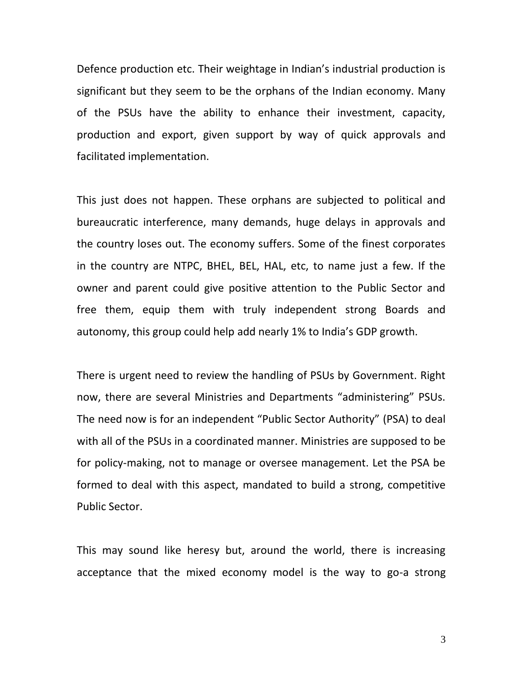Defence production etc. Their weightage in Indian's industrial production is significant but they seem to be the orphans of the Indian economy. Many of the PSUs have the ability to enhance their investment, capacity, production and export, given support by way of quick approvals and facilitated implementation.

This just does not happen. These orphans are subjected to political and bureaucratic interference, many demands, huge delays in approvals and the country loses out. The economy suffers. Some of the finest corporates in the country are NTPC, BHEL, BEL, HAL, etc, to name just a few. If the owner and parent could give positive attention to the Public Sector and free them, equip them with truly independent strong Boards and autonomy, this group could help add nearly 1% to India's GDP growth.

There is urgent need to review the handling of PSUs by Government. Right now, there are several Ministries and Departments "administering" PSUs. The need now is for an independent "Public Sector Authority" (PSA) to deal with all of the PSUs in a coordinated manner. Ministries are supposed to be for policy-making, not to manage or oversee management. Let the PSA be formed to deal with this aspect, mandated to build a strong, competitive Public Sector.

This may sound like heresy but, around the world, there is increasing acceptance that the mixed economy model is the way to go-a strong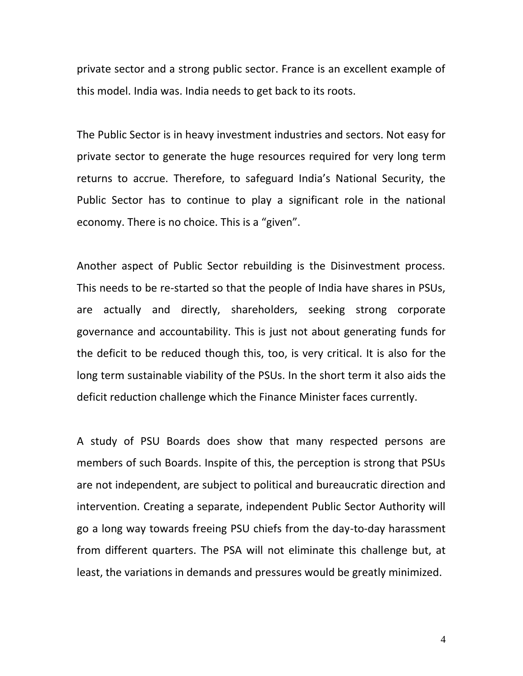private sector and a strong public sector. France is an excellent example of this model. India was. India needs to get back to its roots.

The Public Sector is in heavy investment industries and sectors. Not easy for private sector to generate the huge resources required for very long term returns to accrue. Therefore, to safeguard India's National Security, the Public Sector has to continue to play a significant role in the national economy. There is no choice. This is a "given".

Another aspect of Public Sector rebuilding is the Disinvestment process. This needs to be re-started so that the people of India have shares in PSUs, are actually and directly, shareholders, seeking strong corporate governance and accountability. This is just not about generating funds for the deficit to be reduced though this, too, is very critical. It is also for the long term sustainable viability of the PSUs. In the short term it also aids the deficit reduction challenge which the Finance Minister faces currently.

A study of PSU Boards does show that many respected persons are members of such Boards. Inspite of this, the perception is strong that PSUs are not independent, are subject to political and bureaucratic direction and intervention. Creating a separate, independent Public Sector Authority will go a long way towards freeing PSU chiefs from the day-to-day harassment from different quarters. The PSA will not eliminate this challenge but, at least, the variations in demands and pressures would be greatly minimized.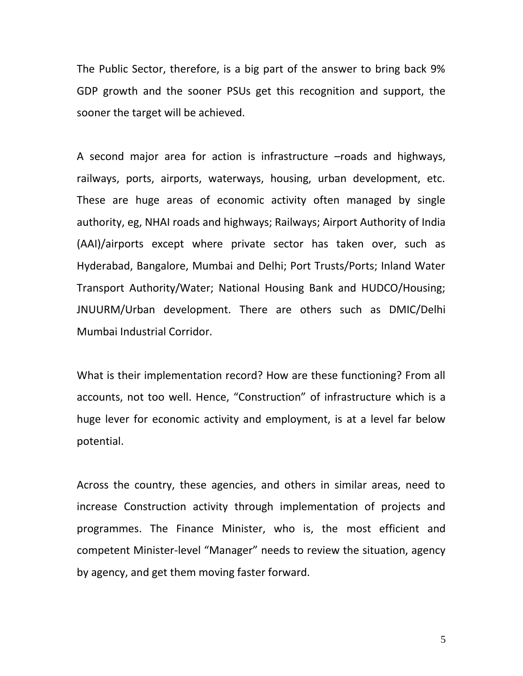The Public Sector, therefore, is a big part of the answer to bring back 9% GDP growth and the sooner PSUs get this recognition and support, the sooner the target will be achieved.

A second major area for action is infrastructure –roads and highways, railways, ports, airports, waterways, housing, urban development, etc. These are huge areas of economic activity often managed by single authority, eg, NHAI roads and highways; Railways; Airport Authority of India (AAI)/airports except where private sector has taken over, such as Hyderabad, Bangalore, Mumbai and Delhi; Port Trusts/Ports; Inland Water Transport Authority/Water; National Housing Bank and HUDCO/Housing; JNUURM/Urban development. There are others such as DMIC/Delhi Mumbai Industrial Corridor.

What is their implementation record? How are these functioning? From all accounts, not too well. Hence, "Construction" of infrastructure which is a huge lever for economic activity and employment, is at a level far below potential.

Across the country, these agencies, and others in similar areas, need to increase Construction activity through implementation of projects and programmes. The Finance Minister, who is, the most efficient and competent Minister-level "Manager" needs to review the situation, agency by agency, and get them moving faster forward.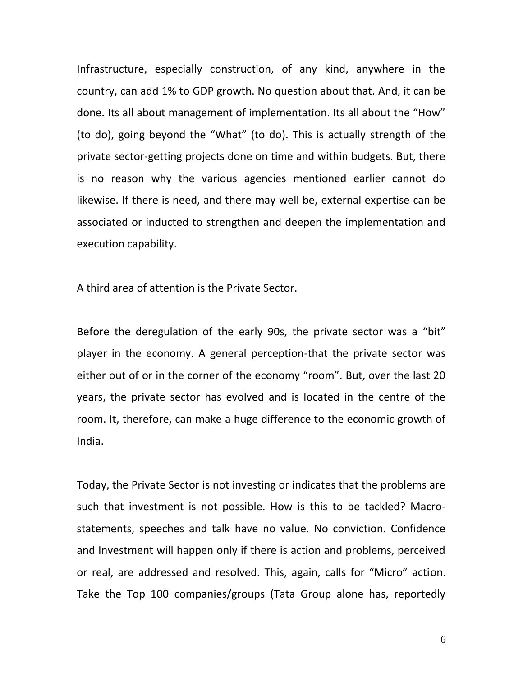Infrastructure, especially construction, of any kind, anywhere in the country, can add 1% to GDP growth. No question about that. And, it can be done. Its all about management of implementation. Its all about the "How" (to do), going beyond the "What" (to do). This is actually strength of the private sector-getting projects done on time and within budgets. But, there is no reason why the various agencies mentioned earlier cannot do likewise. If there is need, and there may well be, external expertise can be associated or inducted to strengthen and deepen the implementation and execution capability.

A third area of attention is the Private Sector.

Before the deregulation of the early 90s, the private sector was a "bit" player in the economy. A general perception-that the private sector was either out of or in the corner of the economy "room". But, over the last 20 years, the private sector has evolved and is located in the centre of the room. It, therefore, can make a huge difference to the economic growth of India.

Today, the Private Sector is not investing or indicates that the problems are such that investment is not possible. How is this to be tackled? Macro statements, speeches and talk have no value. No conviction. Confidence and Investment will happen only if there is action and problems, perceived or real, are addressed and resolved. This, again, calls for "Micro" action. Take the Top 100 companies/groups (Tata Group alone has, reportedly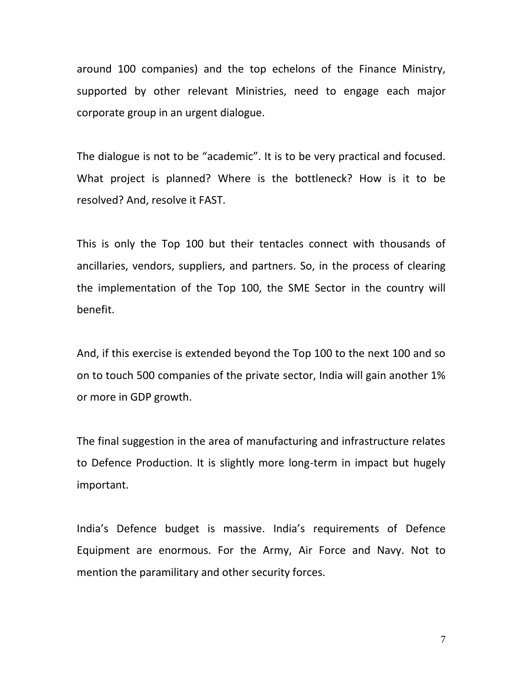around 100 companies) and the top echelons of the Finance Ministry, supported by other relevant Ministries, need to engage each major corporate group in an urgent dialogue.

The dialogue is not to be "academic". It is to be very practical and focused. What project is planned? Where is the bottleneck? How is it to be resolved? And, resolve it FAST.

This is only the Top 100 but their tentacles connect with thousands of ancillaries, vendors, suppliers, and partners. So, in the process of clearing the implementation of the Top 100, the SME Sector in the country will benefit.

And, if this exercise is extended beyond the Top 100 to the next 100 and so on to touch 500 companies of the private sector, India will gain another 1% or more in GDP growth.

The final suggestion in the area of manufacturing and infrastructure relates to Defence Production. It is slightly more long-term in impact but hugely important.

India's Defence budget is massive. India's requirements of Defence Equipment are enormous. For the Army, Air Force and Navy. Not to mention the paramilitary and other security forces.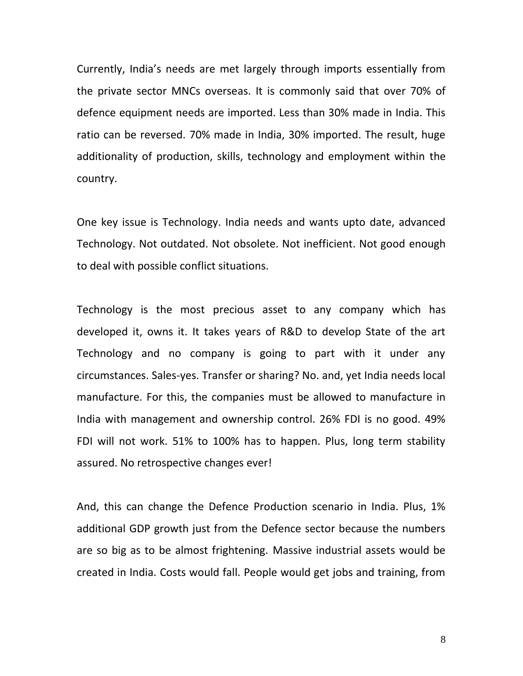Currently, India's needs are met largely through imports essentially from the private sector MNCs overseas. It is commonly said that over 70% of defence equipment needs are imported. Less than 30% made in India. This ratio can be reversed. 70% made in India, 30% imported. The result, huge additionality of production, skills, technology and employment within the country.

One key issue is Technology. India needs and wants upto date, advanced Technology. Not outdated. Not obsolete. Not inefficient. Not good enough to deal with possible conflict situations.

Technology is the most precious asset to any company which has developed it, owns it. It takes years of R&D to develop State of the art Technology and no company is going to part with it under any circumstances. Sales-yes. Transfer or sharing? No. and, yet India needs local manufacture. For this, the companies must be allowed to manufacture in India with management and ownership control. 26% FDI is no good. 49% FDI will not work. 51% to 100% has to happen. Plus, long term stability assured. No retrospective changes ever!

And, this can change the Defence Production scenario in India. Plus, 1% additional GDP growth just from the Defence sector because the numbers are so big as to be almost frightening. Massive industrial assets would be created in India. Costs would fall. People would get jobs and training, from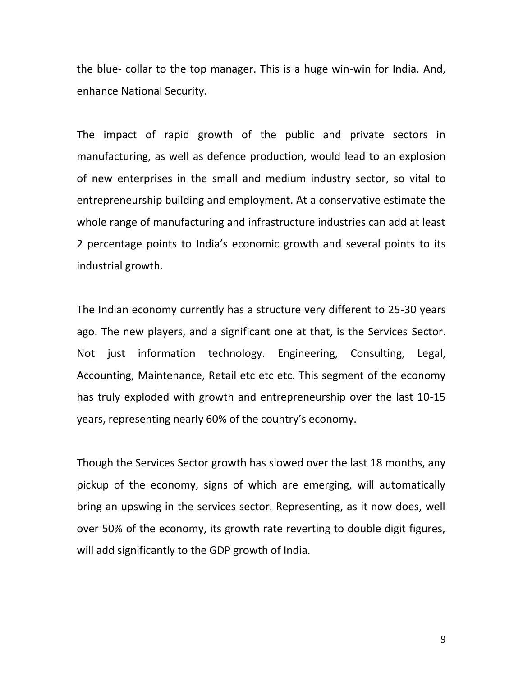the blue- collar to the top manager. This is a huge win-win for India. And, enhance National Security.

The impact of rapid growth of the public and private sectors in manufacturing, as well as defence production, would lead to an explosion of new enterprises in the small and medium industry sector, so vital to entrepreneurship building and employment. At a conservative estimate the whole range of manufacturing and infrastructure industries can add at least 2 percentage points to India's economic growth and several points to its industrial growth.

The Indian economy currently has a structure very different to 25-30 years ago. The new players, and a significant one at that, is the Services Sector. Not just information technology. Engineering, Consulting, Legal, Accounting, Maintenance, Retail etc etc etc. This segment of the economy has truly exploded with growth and entrepreneurship over the last 10-15 years, representing nearly 60% of the country's economy.

Though the Services Sector growth has slowed over the last 18 months, any pickup of the economy, signs of which are emerging, will automatically bring an upswing in the services sector. Representing, as it now does, well over 50% of the economy, its growth rate reverting to double digit figures, will add significantly to the GDP growth of India.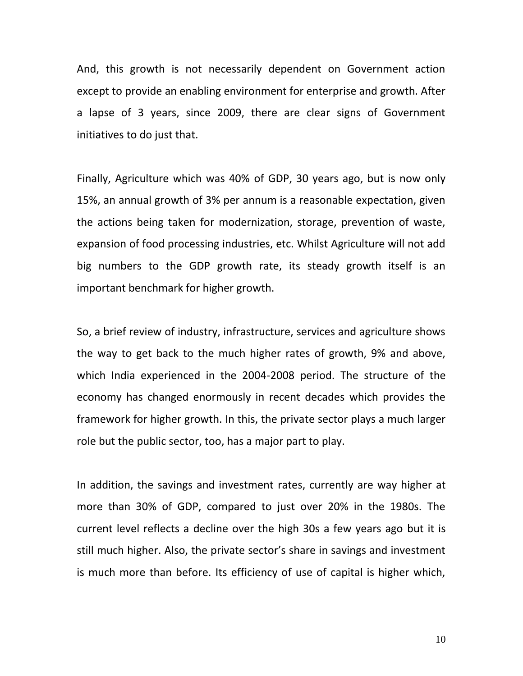And, this growth is not necessarily dependent on Government action except to provide an enabling environment for enterprise and growth. After a lapse of 3 years, since 2009, there are clear signs of Government initiatives to do just that.

Finally, Agriculture which was 40% of GDP, 30 years ago, but is now only 15%, an annual growth of 3% per annum is a reasonable expectation, given the actions being taken for modernization, storage, prevention of waste, expansion of food processing industries, etc. Whilst Agriculture will not add big numbers to the GDP growth rate, its steady growth itself is an important benchmark for higher growth.

So, a brief review of industry, infrastructure, services and agriculture shows the way to get back to the much higher rates of growth, 9% and above, which India experienced in the 2004-2008 period. The structure of the economy has changed enormously in recent decades which provides the framework for higher growth. In this, the private sector plays a much larger role but the public sector, too, has a major part to play.

In addition, the savings and investment rates, currently are way higher at more than 30% of GDP, compared to just over 20% in the 1980s. The current level reflects a decline over the high 30s a few years ago but it is still much higher. Also, the private sector's share in savings and investment is much more than before. Its efficiency of use of capital is higher which,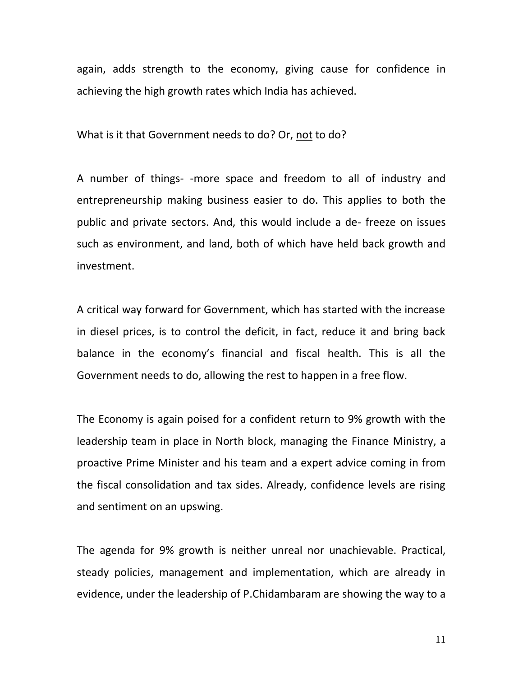again, adds strength to the economy, giving cause for confidence in achieving the high growth rates which India has achieved.

What is it that Government needs to do? Or, not to do?

A number of things- -more space and freedom to all of industry and entrepreneurship making business easier to do. This applies to both the public and private sectors. And, this would include a de- freeze on issues such as environment, and land, both of which have held back growth and investment.

A critical way forward for Government, which has started with the increase in diesel prices, is to control the deficit, in fact, reduce it and bring back balance in the economy's financial and fiscal health. This is all the Government needs to do, allowing the rest to happen in a free flow.

The Economy is again poised for a confident return to 9% growth with the leadership team in place in North block, managing the Finance Ministry, a proactive Prime Minister and his team and a expert advice coming in from the fiscal consolidation and tax sides. Already, confidence levels are rising and sentiment on an upswing.

The agenda for 9% growth is neither unreal nor unachievable. Practical, steady policies, management and implementation, which are already in evidence, under the leadership of P.Chidambaram are showing the way to a